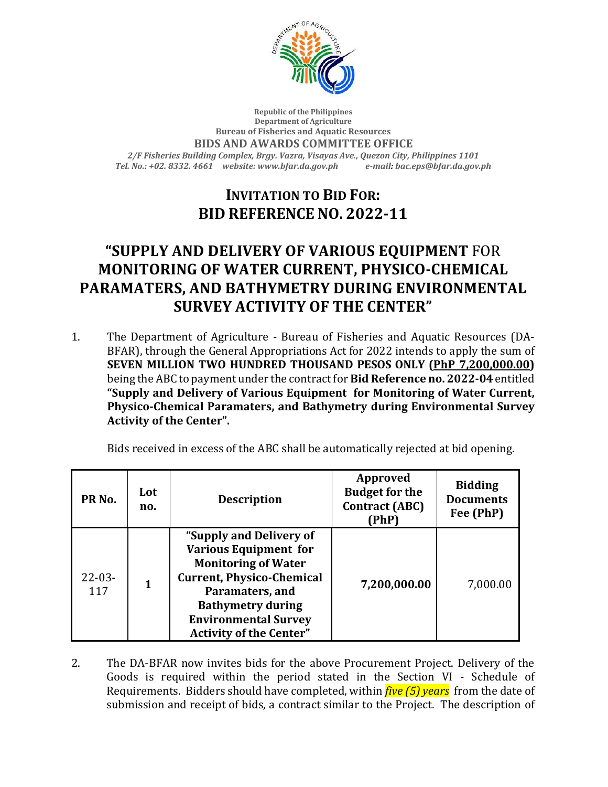

## **Republic of the Philippines Department of Agriculture Bureau of Fisheries and Aquatic Resources BIDS AND AWARDS COMMITTEE OFFICE** *2/F Fisheries Building Complex, Brgy. Vazra, Visayas Ave., Quezon City, Philippines 1101 Tel. No.: +02. 8332. 4661 website: www.bfar.da.gov.ph e-mail: bac.eps@bfar.da.gov.ph*

## **INVITATION TO BID FOR: BID REFERENCE NO. 2022-11**

## **"SUPPLY AND DELIVERY OF VARIOUS EQUIPMENT** FOR **MONITORING OF WATER CURRENT, PHYSICO-CHEMICAL PARAMATERS, AND BATHYMETRY DURING ENVIRONMENTAL SURVEY ACTIVITY OF THE CENTER"**

1. The Department of Agriculture - Bureau of Fisheries and Aquatic Resources (DA-BFAR), through the General Appropriations Act for 2022 intends to apply the sum of **SEVEN MILLION TWO HUNDRED THOUSAND PESOS ONLY (PhP 7,200,000.00)** being the ABC to payment under the contract for **Bid Reference no. 2022-04** entitled **"Supply and Delivery of Various Equipment for Monitoring of Water Current, Physico-Chemical Paramaters, and Bathymetry during Environmental Survey Activity of the Center".**

| Bids received in excess of the ABC shall be automatically rejected at bid opening. |  |  |
|------------------------------------------------------------------------------------|--|--|
|                                                                                    |  |  |

| PR <sub>No.</sub>  | Lot<br>no.   | <b>Description</b>                                                                                                                                                                                                                        | <b>Approved</b><br><b>Budget for the</b><br><b>Contract (ABC)</b><br>(PhP) | <b>Bidding</b><br><b>Documents</b><br>Fee (PhP) |
|--------------------|--------------|-------------------------------------------------------------------------------------------------------------------------------------------------------------------------------------------------------------------------------------------|----------------------------------------------------------------------------|-------------------------------------------------|
| $22 - 03 -$<br>117 | $\mathbf{1}$ | "Supply and Delivery of<br><b>Various Equipment for</b><br><b>Monitoring of Water</b><br><b>Current, Physico-Chemical</b><br>Paramaters, and<br><b>Bathymetry during</b><br><b>Environmental Survey</b><br><b>Activity of the Center"</b> | 7,200,000.00                                                               | 7,000.00                                        |

2. The DA-BFAR now invites bids for the above Procurement Project. Delivery of the Goods is required within the period stated in the Section VI - Schedule of Requirements. Bidders should have completed, within *five (5) years* from the date of submission and receipt of bids, a contract similar to the Project. The description of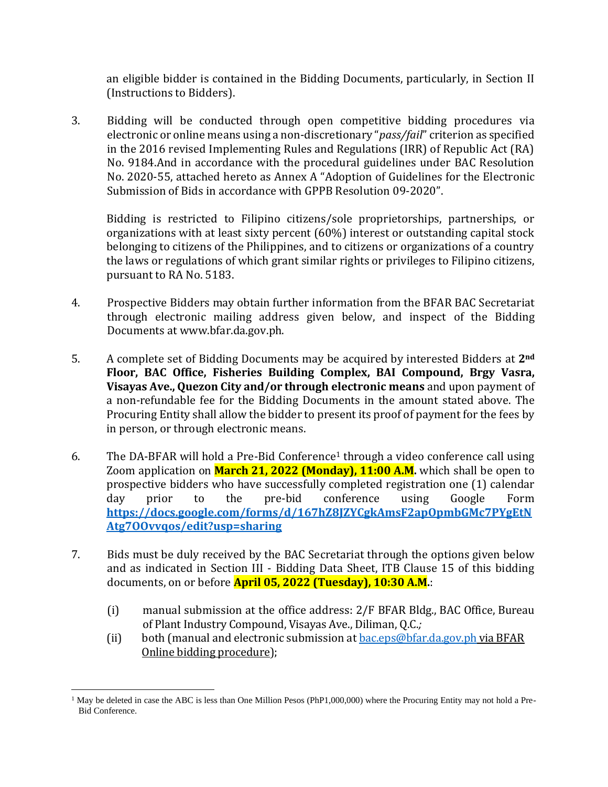an eligible bidder is contained in the Bidding Documents, particularly, in Section II (Instructions to Bidders).

3. Bidding will be conducted through open competitive bidding procedures via electronic or online means using a non-discretionary "*pass/fail*" criterion as specified in the 2016 revised Implementing Rules and Regulations (IRR) of Republic Act (RA) No. 9184.And in accordance with the procedural guidelines under BAC Resolution No. 2020-55, attached hereto as Annex A "Adoption of Guidelines for the Electronic Submission of Bids in accordance with GPPB Resolution 09-2020".

Bidding is restricted to Filipino citizens/sole proprietorships, partnerships, or organizations with at least sixty percent (60%) interest or outstanding capital stock belonging to citizens of the Philippines, and to citizens or organizations of a country the laws or regulations of which grant similar rights or privileges to Filipino citizens, pursuant to RA No. 5183.

- 4. Prospective Bidders may obtain further information from the BFAR BAC Secretariat through electronic mailing address given below, and inspect of the Bidding Documents at www.bfar.da.gov.ph.
- 5. A complete set of Bidding Documents may be acquired by interested Bidders at **2nd Floor, BAC Office, Fisheries Building Complex, BAI Compound, Brgy Vasra, Visayas Ave., Quezon City and/or through electronic means** and upon payment of a non-refundable fee for the Bidding Documents in the amount stated above. The Procuring Entity shall allow the bidder to present its proof of payment for the fees by in person, or through electronic means.
- 6. The DA-BFAR will hold a Pre-Bid Conference<sup>1</sup> through a video conference call using Zoom application on **March 21, 2022 (Monday), 11:00 A.M.** which shall be open to prospective bidders who have successfully completed registration one (1) calendar day prior to the pre-bid conference using Google Form **[https://docs.google.com/forms/d/167hZ8JZYCgkAmsF2apOpmbGMc7PYgEtN](https://docs.google.com/forms/d/167hZ8JZYCgkAmsF2apOpmbGMc7PYgEtNAtg7OOvvqos/edit?usp=sharing) [Atg7OOvvqos/edit?usp=sharing](https://docs.google.com/forms/d/167hZ8JZYCgkAmsF2apOpmbGMc7PYgEtNAtg7OOvvqos/edit?usp=sharing)**
- 7. Bids must be duly received by the BAC Secretariat through the options given below and as indicated in Section III - Bidding Data Sheet, ITB Clause 15 of this bidding documents, on or before **April 05, 2022 (Tuesday), 10:30 A.M.**:
	- (i) manual submission at the office address: 2/F BFAR Bldg., BAC Office, Bureau of Plant Industry Compound, Visayas Ave., Diliman, Q.C.*;*
	- (ii) both (manual and electronic submission at  $bac.eps@bfar.da.gov.ph via BFAR$ Online bidding procedure);

 $1$  May be deleted in case the ABC is less than One Million Pesos (PhP1,000,000) where the Procuring Entity may not hold a Pre-Bid Conference.